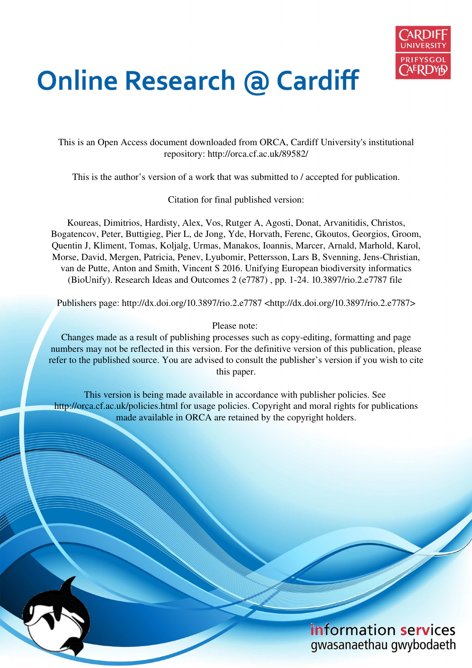

# **Online Research @ Cardiff**

This is an Open Access document downloaded from ORCA, Cardiff University's institutional repository: http://orca.cf.ac.uk/89582/

This is the author's version of a work that was submitted to / accepted for publication.

Citation for final published version:

Koureas, Dimitrios, Hardisty, Alex, Vos, Rutger A, Agosti, Donat, Arvanitidis, Christos, Bogatencov, Peter, Buttigieg, Pier L, de Jong, Yde, Horvath, Ferenc, Gkoutos, Georgios, Groom, Quentin J, Kliment, Tomas, Koljalg, Urmas, Manakos, Ioannis, Marcer, Arnald, Marhold, Karol, Morse, David, Mergen, Patricia, Penev, Lyubomir, Pettersson, Lars B, Svenning, Jens-Christian, van de Putte, Anton and Smith, Vincent S 2016. Unifying European biodiversity informatics (BioUnify). Research Ideas and Outcomes 2 (e7787) , pp. 1-24. 10.3897/rio.2.e7787 file

Publishers page: http://dx.doi.org/10.3897/rio.2.e7787 <http://dx.doi.org/10.3897/rio.2.e7787>

# Please note:

Changes made as a result of publishing processes such as copy-editing, formatting and page numbers may not be reflected in this version. For the definitive version of this publication, please refer to the published source. You are advised to consult the publisher's version if you wish to cite this paper.

This version is being made available in accordance with publisher policies. See http://orca.cf.ac.uk/policies.html for usage policies. Copyright and moral rights for publications made available in ORCA are retained by the copyright holders.

# information services gwasanaethau gwybodaeth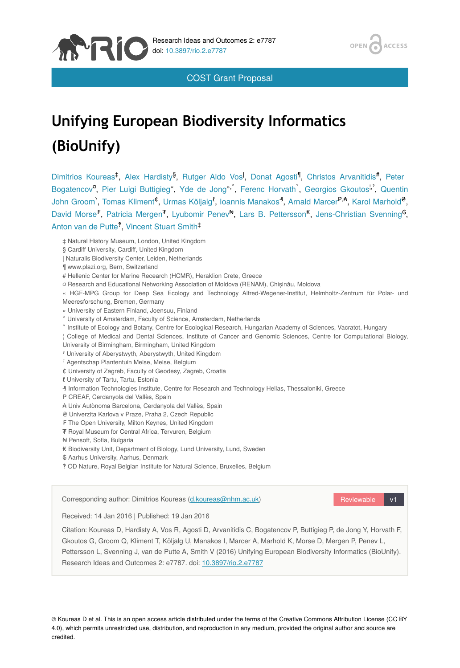

COST Grant Proposal

# **Unifying European Biodiversity Informatics (BioUnify)**

Dimitrios Koureas<sup>‡</sup>, Alex Hardisty<sup>§</sup>, Rutger Aldo Vos<sup>I</sup>, Donat Agosti<sup>¶</sup>, Christos Arvanitidis<sup>#</sup>, Peter Bogatencov<sup>o</sup>, Pier Luigi Buttigieg", Yde de Jong<sup>»,</sup> Ferenc Horvath , Georgios Gkoutos<sup>1,</sup> Quentin John Groom , Tomas Kliment<sup>¢</sup>, Urmas Kõljalg<sup>i</sup>, Ioannis Manakos<sup>4</sup>, Arnald Marcer<sup>P,A</sup>, Karol Marhold<sup>e</sup>, David Morse<sup>F</sup>, Patricia Mergen<sup>7</sup>, Lyubomir Penev<sup>N</sup>, Lars B. Pettersson<sup>K</sup>, Jens-Christian Svenning<sup>6</sup>, Anton van de Putte<sup>?</sup>, Vincent Stuart Smith<sup>‡</sup>

‡ Natural History Museum, London, United Kingdom

- | Naturalis Biodiversity Center, Leiden, Netherlands
- ¶ www.plazi.org, Bern, Switzerland

MRI

- # Hellenic Center for Marine Recearch (HCMR), Heraklion Crete, Greece
- ¤ Research and Educational Networking Association of Moldova (RENAM), Chișinău, Moldova

« HGF-MPG Group for Deep Sea Ecology and Technology Alfred-Wegener-Institut, Helmholtz-Zentrum für Polar- und Meeresforschung, Bremen, Germany

- » University of Eastern Finland, Joensuu, Finland
- ˄ University of Amsterdam, Faculty of Science, Amsterdam, Netherlands
- ˅ Institute of Ecology and Botany, Centre for Ecological Research, Hungarian Academy of Sciences, Vacratot, Hungary
- ¦ College of Medical and Dental Sciences, Institute of Cancer and Genomic Sciences, Centre for Computational Biology,
- University of Birmingham, Birmingham, United Kingdom
- ˀ University of Aberystwyth, Aberystwyth, United Kingdom
- ˁ Agentschap Plantentuin Meise, Meise, Belgium
- ₵ University of Zagreb, Faculty of Geodesy, Zagreb, Croatia
- ℓ University of Tartu, Tartu, Estonia
- ₰ Information Technologies Institute, Centre for Research and Technology Hellas, Thessaloniki, Greece
- ₱ CREAF, Cerdanyola del Vallès, Spain
- ₳ Univ Autònoma Barcelona, Cerdanyola del Vallès, Spain
- ₴ Univerzita Karlova v Praze, Praha 2, Czech Republic
- ₣ The Open University, Milton Keynes, United Kingdom
- ₮ Royal Museum for Central Africa, Tervuren, Belgium
- ₦ Pensoft, Sofia, Bulgaria
- ₭ Biodiversity Unit, Department of Biology, Lund University, Lund, Sweden
- ₲ Aarhus University, Aarhus, Denmark
- ‽ OD Nature, Royal Belgian Institute for Natural Science, Bruxelles, Belgium

Corresponding author: Dimitrios Koureas [\(d.koureas@nhm.ac.uk](mailto:d.koureas@nhm.ac.uk?subject=Your%20manuscript%20in%20PWT%20#5111/Research%20Ideas%20and%20Outcomes%20#7787))

Reviewable v1

ACCESS

Received: 14 Jan 2016 | Published: 19 Jan 2016

Citation: Koureas D, Hardisty A, Vos R, Agosti D, Arvanitidis C, Bogatencov P, Buttigieg P, de Jong Y, Horvath F, Gkoutos G, Groom Q, Kliment T, Kõljalg U, Manakos I, Marcer A, Marhold K, Morse D, Mergen P, Penev L, Pettersson L, Svenning J, van de Putte A, Smith V (2016) Unifying European Biodiversity Informatics (BioUnify). Research Ideas and Outcomes 2: e7787. doi: [10.3897/rio.2.e7787](http://dx.doi.org/10.3897/rio.2.e7787)

© Koureas D et al. This is an open access article distributed under the terms of the Creative Commons Attribution License (CC BY 4.0), which permits unrestricted use, distribution, and reproduction in any medium, provided the original author and source are credited.

<sup>§</sup> Cardiff University, Cardiff, United Kingdom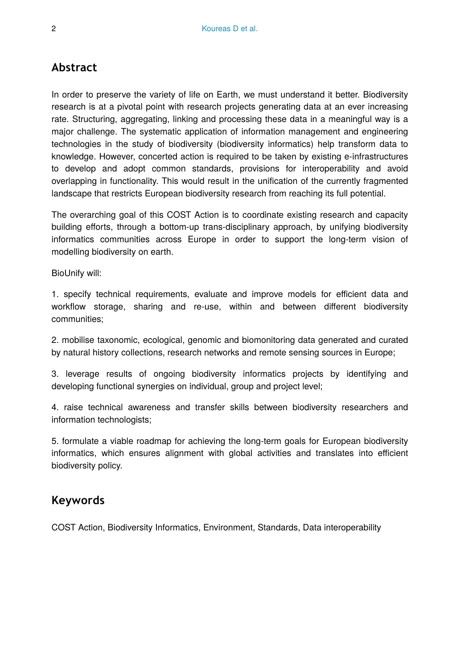# **Abstract**

In order to preserve the variety of life on Earth, we must understand it better. Biodiversity research is at a pivotal point with research projects generating data at an ever increasing rate. Structuring, aggregating, linking and processing these data in a meaningful way is a major challenge. The systematic application of information management and engineering technologies in the study of biodiversity (biodiversity informatics) help transform data to knowledge. However, concerted action is required to be taken by existing e-infrastructures to develop and adopt common standards, provisions for interoperability and avoid overlapping in functionality. This would result in the unification of the currently fragmented landscape that restricts European biodiversity research from reaching its full potential.

The overarching goal of this COST Action is to coordinate existing research and capacity building efforts, through a bottom-up trans-disciplinary approach, by unifying biodiversity informatics communities across Europe in order to support the long-term vision of modelling biodiversity on earth.

BioUnify will:

1. specify technical requirements, evaluate and improve models for efficient data and workflow storage, sharing and re-use, within and between different biodiversity communities;

2. mobilise taxonomic, ecological, genomic and biomonitoring data generated and curated by natural history collections, research networks and remote sensing sources in Europe;

3. leverage results of ongoing biodiversity informatics projects by identifying and developing functional synergies on individual, group and project level;

4. raise technical awareness and transfer skills between biodiversity researchers and information technologists;

5. formulate a viable roadmap for achieving the long-term goals for European biodiversity informatics, which ensures alignment with global activities and translates into efficient biodiversity policy.

# **Keywords**

COST Action, Biodiversity Informatics, Environment, Standards, Data interoperability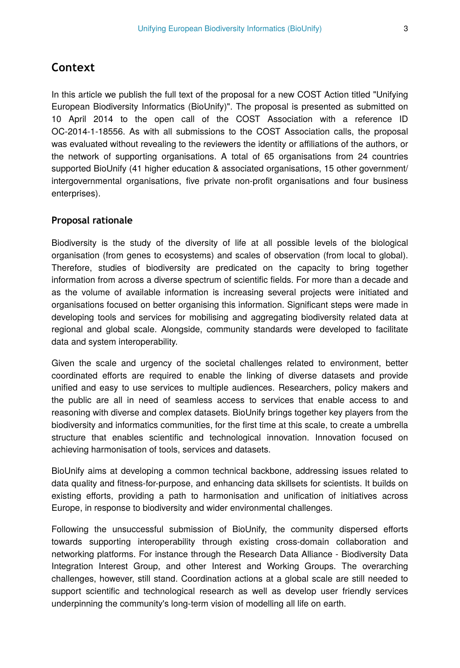### **Context**

In this article we publish the full text of the proposal for a new COST Action titled "Unifying European Biodiversity Informatics (BioUnify)". The proposal is presented as submitted on 10 April 2014 to the open call of the COST Association with a reference ID OC-2014-1-18556. As with all submissions to the COST Association calls, the proposal was evaluated without revealing to the reviewers the identity or affiliations of the authors, or the network of supporting organisations. A total of 65 organisations from 24 countries supported BioUnify (41 higher education & associated organisations, 15 other government/ intergovernmental organisations, five private non-profit organisations and four business enterprises).

#### **Proposal rationale**

Biodiversity is the study of the diversity of life at all possible levels of the biological organisation (from genes to ecosystems) and scales of observation (from local to global). Therefore, studies of biodiversity are predicated on the capacity to bring together information from across a diverse spectrum of scientific fields. For more than a decade and as the volume of available information is increasing several projects were initiated and organisations focused on better organising this information. Significant steps were made in developing tools and services for mobilising and aggregating biodiversity related data at regional and global scale. Alongside, community standards were developed to facilitate data and system interoperability.

Given the scale and urgency of the societal challenges related to environment, better coordinated efforts are required to enable the linking of diverse datasets and provide unified and easy to use services to multiple audiences. Researchers, policy makers and the public are all in need of seamless access to services that enable access to and reasoning with diverse and complex datasets. BioUnify brings together key players from the biodiversity and informatics communities, for the first time at this scale, to create a umbrella structure that enables scientific and technological innovation. Innovation focused on achieving harmonisation of tools, services and datasets.

BioUnify aims at developing a common technical backbone, addressing issues related to data quality and fitness-for-purpose, and enhancing data skillsets for scientists. It builds on existing efforts, providing a path to harmonisation and unification of initiatives across Europe, in response to biodiversity and wider environmental challenges.

Following the unsuccessful submission of BioUnify, the community dispersed efforts towards supporting interoperability through existing cross-domain collaboration and networking platforms. For instance through the Research Data Alliance - Biodiversity Data Integration Interest Group, and other Interest and Working Groups. The overarching challenges, however, still stand. Coordination actions at a global scale are still needed to support scientific and technological research as well as develop user friendly services underpinning the community's long-term vision of modelling all life on earth.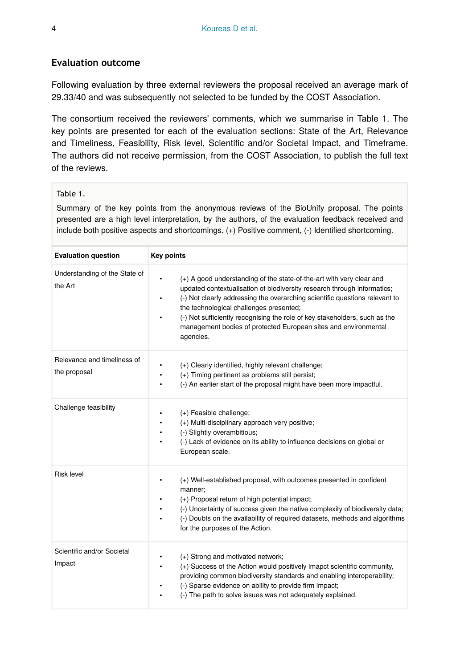#### **Evaluation outcome**

Following evaluation by three external reviewers the proposal received an average mark of 29.33/40 and was subsequently not selected to be funded by the COST Association.

The consortium received the reviewers' comments, which we summarise in Table 1. The key points are presented for each of the evaluation sections: State of the Art, Relevance and Timeliness, Feasibility, Risk level, Scientific and/or Societal Impact, and Timeframe. The authors did not receive permission, from the COST Association, to publish the full text of the reviews.

#### Table 1.

Summary of the key points from the anonymous reviews of the BioUnify proposal. The points presented are a high level interpretation, by the authors, of the evaluation feedback received and include both positive aspects and shortcomings. (+) Positive comment, (-) Identified shortcoming.

| <b>Evaluation question</b>                  | <b>Key points</b>                                                                                                                                                                                                                                                                                                                                                                                                                                              |
|---------------------------------------------|----------------------------------------------------------------------------------------------------------------------------------------------------------------------------------------------------------------------------------------------------------------------------------------------------------------------------------------------------------------------------------------------------------------------------------------------------------------|
| Understanding of the State of<br>the Art    | (+) A good understanding of the state-of-the-art with very clear and<br>٠<br>updated contextualisation of biodiversity research through informatics;<br>(-) Not clearly addressing the overarching scientific questions relevant to<br>$\bullet$<br>the technological challenges presented;<br>(-) Not sufficiently recognising the role of key stakeholders, such as the<br>٠<br>management bodies of protected European sites and environmental<br>agencies. |
| Relevance and timeliness of<br>the proposal | (+) Clearly identified, highly relevant challenge;<br>(+) Timing pertinent as problems still persist;<br>(-) An earlier start of the proposal might have been more impactful.                                                                                                                                                                                                                                                                                  |
| Challenge feasibility                       | (+) Feasible challenge;<br>(+) Multi-disciplinary approach very positive;<br>(-) Slightly overambitious;<br>(-) Lack of evidence on its ability to influence decisions on global or<br>European scale.                                                                                                                                                                                                                                                         |
| Risk level                                  | (+) Well-established proposal, with outcomes presented in confident<br>manner:<br>(+) Proposal return of high potential impact;<br>(-) Uncertainty of success given the native complexity of biodiversity data;<br>$\bullet$<br>(-) Doubts on the availability of required datasets, methods and algorithms<br>for the purposes of the Action.                                                                                                                 |
| Scientific and/or Societal<br>Impact        | (+) Strong and motivated network;<br>(+) Success of the Action would positively imapct scientific community,<br>$\bullet$<br>providing common biodiversity standards and enabling interoperability;<br>(-) Sparse evidence on ability to provide firm impact;<br>$\bullet$<br>(-) The path to solve issues was not adequately explained.                                                                                                                       |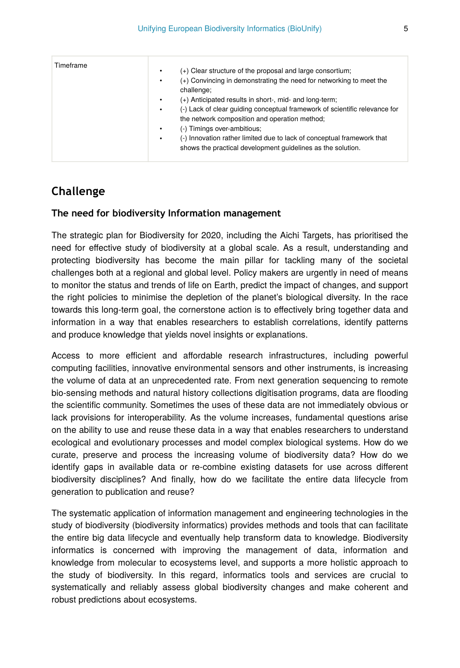| Timeframe | $(+)$ Clear structure of the proposal and large consortium;<br>٠<br>(+) Convincing in demonstrating the need for networking to meet the<br>٠<br>challenge;<br>(+) Anticipated results in short-, mid- and long-term;<br>٠<br>(-) Lack of clear quiding conceptual framework of scientific relevance for<br>٠<br>the network composition and operation method;<br>(-) Timings over-ambitious;<br>$\bullet$<br>(-) Innovation rather limited due to lack of conceptual framework that<br>$\bullet$<br>shows the practical development quidelines as the solution. |
|-----------|-----------------------------------------------------------------------------------------------------------------------------------------------------------------------------------------------------------------------------------------------------------------------------------------------------------------------------------------------------------------------------------------------------------------------------------------------------------------------------------------------------------------------------------------------------------------|
|-----------|-----------------------------------------------------------------------------------------------------------------------------------------------------------------------------------------------------------------------------------------------------------------------------------------------------------------------------------------------------------------------------------------------------------------------------------------------------------------------------------------------------------------------------------------------------------------|

# **Challenge**

#### **The need for biodiversity Information management**

The strategic plan for Biodiversity for 2020, including the Aichi Targets, has prioritised the need for effective study of biodiversity at a global scale. As a result, understanding and protecting biodiversity has become the main pillar for tackling many of the societal challenges both at a regional and global level. Policy makers are urgently in need of means to monitor the status and trends of life on Earth, predict the impact of changes, and support the right policies to minimise the depletion of the planet's biological diversity. In the race towards this long-term goal, the cornerstone action is to effectively bring together data and information in a way that enables researchers to establish correlations, identify patterns and produce knowledge that yields novel insights or explanations.

Access to more efficient and affordable research infrastructures, including powerful computing facilities, innovative environmental sensors and other instruments, is increasing the volume of data at an unprecedented rate. From next generation sequencing to remote bio-sensing methods and natural history collections digitisation programs, data are flooding the scientific community. Sometimes the uses of these data are not immediately obvious or lack provisions for interoperability. As the volume increases, fundamental questions arise on the ability to use and reuse these data in a way that enables researchers to understand ecological and evolutionary processes and model complex biological systems. How do we curate, preserve and process the increasing volume of biodiversity data? How do we identify gaps in available data or re-combine existing datasets for use across different biodiversity disciplines? And finally, how do we facilitate the entire data lifecycle from generation to publication and reuse?

The systematic application of information management and engineering technologies in the study of biodiversity (biodiversity informatics) provides methods and tools that can facilitate the entire big data lifecycle and eventually help transform data to knowledge. Biodiversity informatics is concerned with improving the management of data, information and knowledge from molecular to ecosystems level, and supports a more holistic approach to the study of biodiversity. In this regard, informatics tools and services are crucial to systematically and reliably assess global biodiversity changes and make coherent and robust predictions about ecosystems.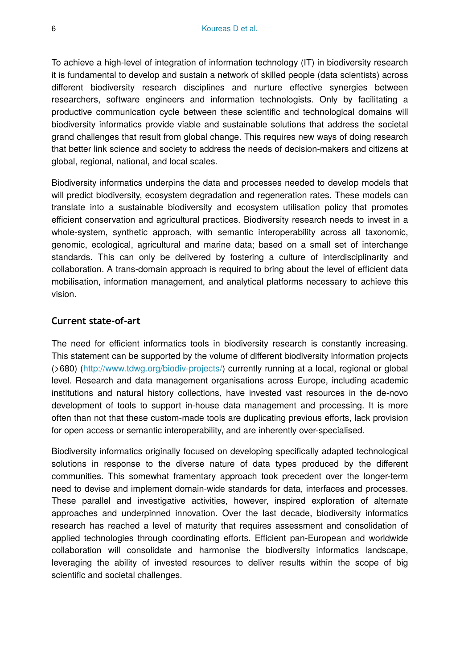To achieve a high-level of integration of information technology (IT) in biodiversity research it is fundamental to develop and sustain a network of skilled people (data scientists) across different biodiversity research disciplines and nurture effective synergies between researchers, software engineers and information technologists. Only by facilitating a productive communication cycle between these scientific and technological domains will biodiversity informatics provide viable and sustainable solutions that address the societal grand challenges that result from global change. This requires new ways of doing research that better link science and society to address the needs of decision-makers and citizens at global, regional, national, and local scales.

Biodiversity informatics underpins the data and processes needed to develop models that will predict biodiversity, ecosystem degradation and regeneration rates. These models can translate into a sustainable biodiversity and ecosystem utilisation policy that promotes efficient conservation and agricultural practices. Biodiversity research needs to invest in a whole-system, synthetic approach, with semantic interoperability across all taxonomic, genomic, ecological, agricultural and marine data; based on a small set of interchange standards. This can only be delivered by fostering a culture of interdisciplinarity and collaboration. A trans-domain approach is required to bring about the level of efficient data mobilisation, information management, and analytical platforms necessary to achieve this vision.

#### **Current state-of-art**

The need for efficient informatics tools in biodiversity research is constantly increasing. This statement can be supported by the volume of different biodiversity information projects (>680) (<http://www.tdwg.org/biodiv-projects/>) currently running at a local, regional or global level. Research and data management organisations across Europe, including academic institutions and natural history collections, have invested vast resources in the de-novo development of tools to support in-house data management and processing. It is more often than not that these custom-made tools are duplicating previous efforts, lack provision for open access or semantic interoperability, and are inherently over-specialised.

Biodiversity informatics originally focused on developing specifically adapted technological solutions in response to the diverse nature of data types produced by the different communities. This somewhat framentary approach took precedent over the longer-term need to devise and implement domain-wide standards for data, interfaces and processes. These parallel and investigative activities, however, inspired exploration of alternate approaches and underpinned innovation. Over the last decade, biodiversity informatics research has reached a level of maturity that requires assessment and consolidation of applied technologies through coordinating efforts. Efficient pan-European and worldwide collaboration will consolidate and harmonise the biodiversity informatics landscape, leveraging the ability of invested resources to deliver results within the scope of big scientific and societal challenges.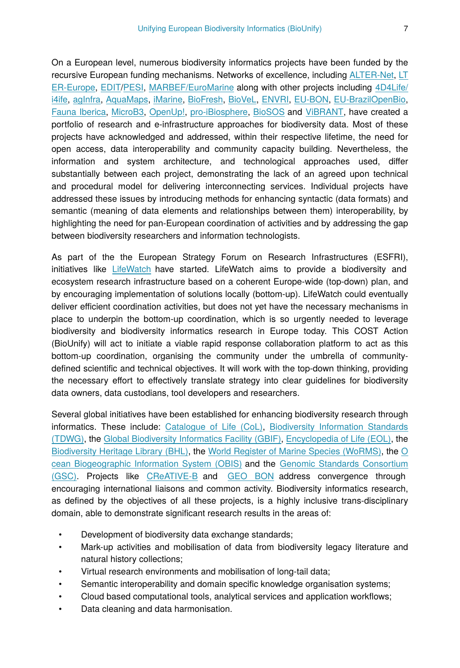On a European level, numerous biodiversity informatics projects have been funded by the recursive European funding mechanisms. Networks of excellence, including [ALTER-Net,](http://www.alter-net.info/) [LT](http://www.lter-europe.net/) [ER-Europe,](http://www.lter-europe.net/) [EDIT](http://www.e-taxonomy.eu/)[/PESI](http://www.eu-nomen.eu/pesi/), [MARBEF/EuroMarine](http://www.marbef.org/wiki/Portal:Euromarine) along with other projects including [4D4Life/](http://www.i4life.eu/i4lifewebsite/4d4life/) [i4ife,](http://www.i4life.eu/i4lifewebsite/4d4life/) [agInfra](http://aginfra.eu/), [AquaMaps,](http://www.aquamaps.org/) [iMarine,](http://www.i-marine.eu/Pages/Home.aspx) [BioFresh,](http://data.freshwaterbiodiversity.eu/) [BioVeL,](https://www.biovel.eu/) [ENVRI,](http://www.envri.eu/) [EU-BON](http://www.eubon.eu), [EU-BrazilOpenBio,](http://www.eubrazilopenbio.eu) [Fauna Iberica,](http://www.fauna-iberica.mncn.csic.es/) [MicroB3](https://www.microb3.eu/), [OpenUp!](http://epf.eclipse.org/wikis/openup/), [pro-iBiosphere](http://www.pro-ibiosphere.eu/), [BioSOS](http://www.biosos.eu/) and [ViBRANT](http://vbrant.eu/), have created a portfolio of research and e-infrastructure approaches for biodiversity data. Most of these projects have acknowledged and addressed, within their respective lifetime, the need for open access, data interoperability and community capacity building. Nevertheless, the information and system architecture, and technological approaches used, differ substantially between each project, demonstrating the lack of an agreed upon technical and procedural model for delivering interconnecting services. Individual projects have addressed these issues by introducing methods for enhancing syntactic (data formats) and semantic (meaning of data elements and relationships between them) interoperability, by highlighting the need for pan-European coordination of activities and by addressing the gap between biodiversity researchers and information technologists.

As part of the the European Strategy Forum on Research Infrastructures (ESFRI), initiatives like [LifeWatch](http://www.lifewatch.eu/) have started. LifeWatch aims to provide a biodiversity and ecosystem research infrastructure based on a coherent Europe-wide (top-down) plan, and by encouraging implementation of solutions locally (bottom-up). LifeWatch could eventually deliver efficient coordination activities, but does not yet have the necessary mechanisms in place to underpin the bottom-up coordination, which is so urgently needed to leverage biodiversity and biodiversity informatics research in Europe today. This COST Action (BioUnify) will act to initiate a viable rapid response collaboration platform to act as this bottom-up coordination, organising the community under the umbrella of communitydefined scientific and technical objectives. It will work with the top-down thinking, providing the necessary effort to effectively translate strategy into clear guidelines for biodiversity data owners, data custodians, tool developers and researchers.

Several global initiatives have been established for enhancing biodiversity research through informatics. These include: [Catalogue of Life \(CoL\)](http://www.catalogueoflife.org/), [Biodiversity Information Standards](http://www.tdwg.org/) [\(TDWG\)](http://www.tdwg.org/), the [Global Biodiversity Informatics Facility \(GBIF\)](http://www.gbif.org/), [Encyclopedia of Life \(EOL\),](http://www.eol.org/%E2%80%8E) the [Biodiversity Heritage Library \(BHL\),](http://www.biodiversitylibrary.org/) the [World Register of Marine Species \(WoRMS\),](http://www.marinespecies.org/) the [O](http://www.iobis.org/) [cean Biogeographic Information System \(OBIS\)](http://www.iobis.org/) and the [Genomic Standards Consortium](http://gensc.org/) [\(GSC\).](http://gensc.org/) Projects like [CReATIVE-B](http://creative-b.eu/) and [GEO BON](http://geobon.org/) address convergence through encouraging international liaisons and common activity. Biodiversity informatics research, as defined by the objectives of all these projects, is a highly inclusive trans-disciplinary domain, able to demonstrate significant research results in the areas of:

- Development of biodiversity data exchange standards;
- Mark-up activities and mobilisation of data from biodiversity legacy literature and natural history collections;
- Virtual research environments and mobilisation of long-tail data;
- Semantic interoperability and domain specific knowledge organisation systems;
- Cloud based computational tools, analytical services and application workflows;
- Data cleaning and data harmonisation.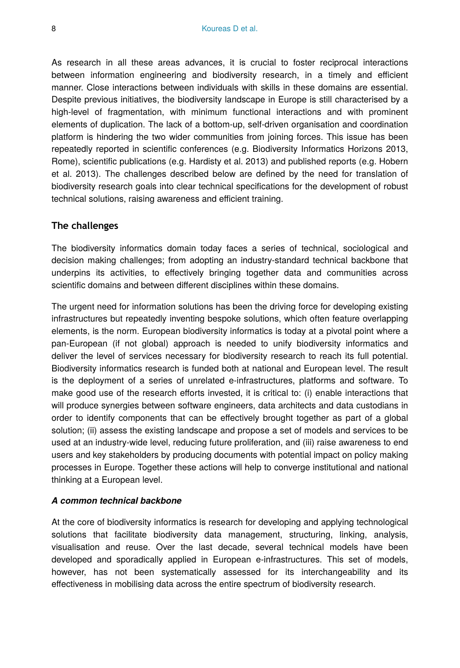As research in all these areas advances, it is crucial to foster reciprocal interactions between information engineering and biodiversity research, in a timely and efficient manner. Close interactions between individuals with skills in these domains are essential. Despite previous initiatives, the biodiversity landscape in Europe is still characterised by a high-level of fragmentation, with minimum functional interactions and with prominent elements of duplication. The lack of a bottom-up, self-driven organisation and coordination platform is hindering the two wider communities from joining forces. This issue has been repeatedly reported in scientific conferences (e.g. Biodiversity Informatics Horizons 2013, Rome), scientific publications (e.g. Hardisty et al. 2013) and published reports (e.g. Hobern et al. 2013). The challenges described below are defined by the need for translation of biodiversity research goals into clear technical specifications for the development of robust technical solutions, raising awareness and efficient training.

#### **The challenges**

The biodiversity informatics domain today faces a series of technical, sociological and decision making challenges; from adopting an industry-standard technical backbone that underpins its activities, to effectively bringing together data and communities across scientific domains and between different disciplines within these domains.

The urgent need for information solutions has been the driving force for developing existing infrastructures but repeatedly inventing bespoke solutions, which often feature overlapping elements, is the norm. European biodiversity informatics is today at a pivotal point where a pan-European (if not global) approach is needed to unify biodiversity informatics and deliver the level of services necessary for biodiversity research to reach its full potential. Biodiversity informatics research is funded both at national and European level. The result is the deployment of a series of unrelated e-infrastructures, platforms and software. To make good use of the research efforts invested, it is critical to: (i) enable interactions that will produce synergies between software engineers, data architects and data custodians in order to identify components that can be effectively brought together as part of a global solution; (ii) assess the existing landscape and propose a set of models and services to be used at an industry-wide level, reducing future proliferation, and (iii) raise awareness to end users and key stakeholders by producing documents with potential impact on policy making processes in Europe. Together these actions will help to converge institutional and national thinking at a European level.

#### *A common technical backbone*

At the core of biodiversity informatics is research for developing and applying technological solutions that facilitate biodiversity data management, structuring, linking, analysis, visualisation and reuse. Over the last decade, several technical models have been developed and sporadically applied in European e-infrastructures. This set of models, however, has not been systematically assessed for its interchangeability and its effectiveness in mobilising data across the entire spectrum of biodiversity research.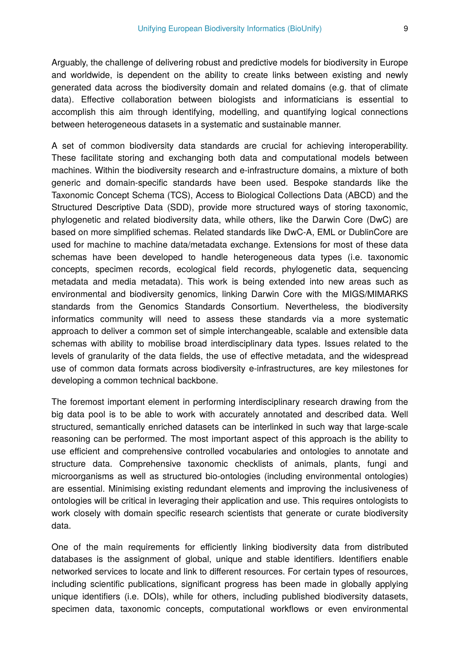Arguably, the challenge of delivering robust and predictive models for biodiversity in Europe and worldwide, is dependent on the ability to create links between existing and newly generated data across the biodiversity domain and related domains (e.g. that of climate data). Effective collaboration between biologists and informaticians is essential to accomplish this aim through identifying, modelling, and quantifying logical connections between heterogeneous datasets in a systematic and sustainable manner.

A set of common biodiversity data standards are crucial for achieving interoperability. These facilitate storing and exchanging both data and computational models between machines. Within the biodiversity research and e-infrastructure domains, a mixture of both generic and domain-specific standards have been used. Bespoke standards like the Taxonomic Concept Schema (TCS), Access to Biological Collections Data (ABCD) and the Structured Descriptive Data (SDD), provide more structured ways of storing taxonomic, phylogenetic and related biodiversity data, while others, like the Darwin Core (DwC) are based on more simplified schemas. Related standards like DwC-A, EML or DublinCore are used for machine to machine data/metadata exchange. Extensions for most of these data schemas have been developed to handle heterogeneous data types (i.e. taxonomic concepts, specimen records, ecological field records, phylogenetic data, sequencing metadata and media metadata). This work is being extended into new areas such as environmental and biodiversity genomics, linking Darwin Core with the MIGS/MIMARKS standards from the Genomics Standards Consortium. Nevertheless, the biodiversity informatics community will need to assess these standards via a more systematic approach to deliver a common set of simple interchangeable, scalable and extensible data schemas with ability to mobilise broad interdisciplinary data types. Issues related to the levels of granularity of the data fields, the use of effective metadata, and the widespread use of common data formats across biodiversity e-infrastructures, are key milestones for developing a common technical backbone.

The foremost important element in performing interdisciplinary research drawing from the big data pool is to be able to work with accurately annotated and described data. Well structured, semantically enriched datasets can be interlinked in such way that large-scale reasoning can be performed. The most important aspect of this approach is the ability to use efficient and comprehensive controlled vocabularies and ontologies to annotate and structure data. Comprehensive taxonomic checklists of animals, plants, fungi and microorganisms as well as structured bio-ontologies (including environmental ontologies) are essential. Minimising existing redundant elements and improving the inclusiveness of ontologies will be critical in leveraging their application and use. This requires ontologists to work closely with domain specific research scientists that generate or curate biodiversity data.

One of the main requirements for efficiently linking biodiversity data from distributed databases is the assignment of global, unique and stable identifiers. Identifiers enable networked services to locate and link to different resources. For certain types of resources, including scientific publications, significant progress has been made in globally applying unique identifiers (i.e. DOIs), while for others, including published biodiversity datasets, specimen data, taxonomic concepts, computational workflows or even environmental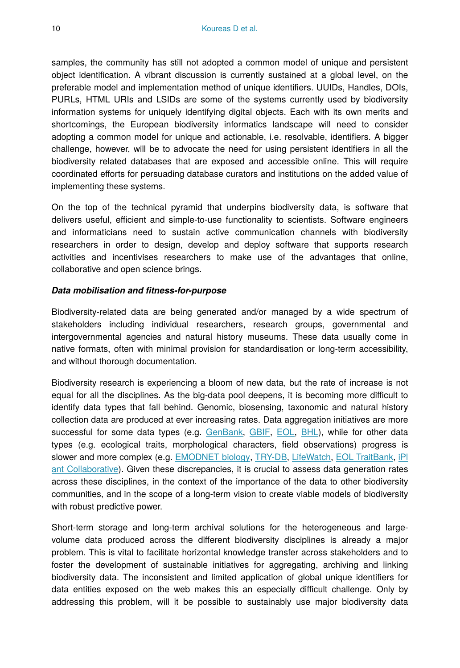samples, the community has still not adopted a common model of unique and persistent object identification. A vibrant discussion is currently sustained at a global level, on the preferable model and implementation method of unique identifiers. UUIDs, Handles, DOIs, PURLs, HTML URIs and LSIDs are some of the systems currently used by biodiversity information systems for uniquely identifying digital objects. Each with its own merits and shortcomings, the European biodiversity informatics landscape will need to consider adopting a common model for unique and actionable, i.e. resolvable, identifiers. A bigger challenge, however, will be to advocate the need for using persistent identifiers in all the biodiversity related databases that are exposed and accessible online. This will require coordinated efforts for persuading database curators and institutions on the added value of implementing these systems.

On the top of the technical pyramid that underpins biodiversity data, is software that delivers useful, efficient and simple-to-use functionality to scientists. Software engineers and informaticians need to sustain active communication channels with biodiversity researchers in order to design, develop and deploy software that supports research activities and incentivises researchers to make use of the advantages that online, collaborative and open science brings.

#### *Data mobilisation and fitness-for-purpose*

Biodiversity-related data are being generated and/or managed by a wide spectrum of stakeholders including individual researchers, research groups, governmental and intergovernmental agencies and natural history museums. These data usually come in native formats, often with minimal provision for standardisation or long-term accessibility, and without thorough documentation.

Biodiversity research is experiencing a bloom of new data, but the rate of increase is not equal for all the disciplines. As the big-data pool deepens, it is becoming more difficult to identify data types that fall behind. Genomic, biosensing, taxonomic and natural history collection data are produced at ever increasing rates. Data aggregation initiatives are more successful for some data types (e.g. [GenBank](http://www.ncbi.nlm.nih.gov/genbank/), [GBIF,](http://www.gbif.org/) [EOL,](http://eol.org/) [BHL\)](http://www.biodiversitylibrary.org/), while for other data types (e.g. ecological traits, morphological characters, field observations) progress is slower and more complex (e.g. [EMODNET biology](http://www.emodnet-biology.eu/), [TRY-DB,](https://www.try-db.org/TryWeb/Home.php) [LifeWatch,](http://lifewatch.eu/) [EOL TraitBank](http://eol.org/info/516), [iPl](http://www.iplantcollaborative.org/) [ant Collaborative](http://www.iplantcollaborative.org/)). Given these discrepancies, it is crucial to assess data generation rates across these disciplines, in the context of the importance of the data to other biodiversity communities, and in the scope of a long-term vision to create viable models of biodiversity with robust predictive power.

Short-term storage and long-term archival solutions for the heterogeneous and largevolume data produced across the different biodiversity disciplines is already a major problem. This is vital to facilitate horizontal knowledge transfer across stakeholders and to foster the development of sustainable initiatives for aggregating, archiving and linking biodiversity data. The inconsistent and limited application of global unique identifiers for data entities exposed on the web makes this an especially difficult challenge. Only by addressing this problem, will it be possible to sustainably use major biodiversity data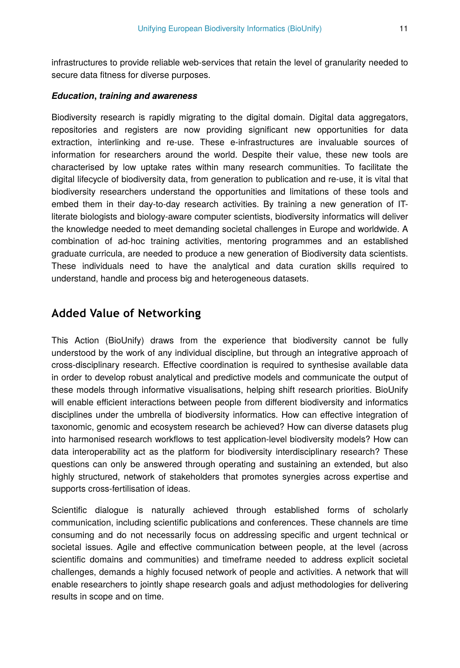infrastructures to provide reliable web-services that retain the level of granularity needed to secure data fitness for diverse purposes.

#### *Education***,** *training and awareness*

Biodiversity research is rapidly migrating to the digital domain. Digital data aggregators, repositories and registers are now providing significant new opportunities for data extraction, interlinking and re-use. These e-infrastructures are invaluable sources of information for researchers around the world. Despite their value, these new tools are characterised by low uptake rates within many research communities. To facilitate the digital lifecycle of biodiversity data, from generation to publication and re-use, it is vital that biodiversity researchers understand the opportunities and limitations of these tools and embed them in their day-to-day research activities. By training a new generation of ITliterate biologists and biology-aware computer scientists, biodiversity informatics will deliver the knowledge needed to meet demanding societal challenges in Europe and worldwide. A combination of ad-hoc training activities, mentoring programmes and an established graduate curricula, are needed to produce a new generation of Biodiversity data scientists. These individuals need to have the analytical and data curation skills required to understand, handle and process big and heterogeneous datasets.

# **Added Value of Networking**

This Action (BioUnify) draws from the experience that biodiversity cannot be fully understood by the work of any individual discipline, but through an integrative approach of cross-disciplinary research. Effective coordination is required to synthesise available data in order to develop robust analytical and predictive models and communicate the output of these models through informative visualisations, helping shift research priorities. BioUnify will enable efficient interactions between people from different biodiversity and informatics disciplines under the umbrella of biodiversity informatics. How can effective integration of taxonomic, genomic and ecosystem research be achieved? How can diverse datasets plug into harmonised research workflows to test application-level biodiversity models? How can data interoperability act as the platform for biodiversity interdisciplinary research? These questions can only be answered through operating and sustaining an extended, but also highly structured, network of stakeholders that promotes synergies across expertise and supports cross-fertilisation of ideas.

Scientific dialogue is naturally achieved through established forms of scholarly communication, including scientific publications and conferences. These channels are time consuming and do not necessarily focus on addressing specific and urgent technical or societal issues. Agile and effective communication between people, at the level (across scientific domains and communities) and timeframe needed to address explicit societal challenges, demands a highly focused network of people and activities. A network that will enable researchers to jointly shape research goals and adjust methodologies for delivering results in scope and on time.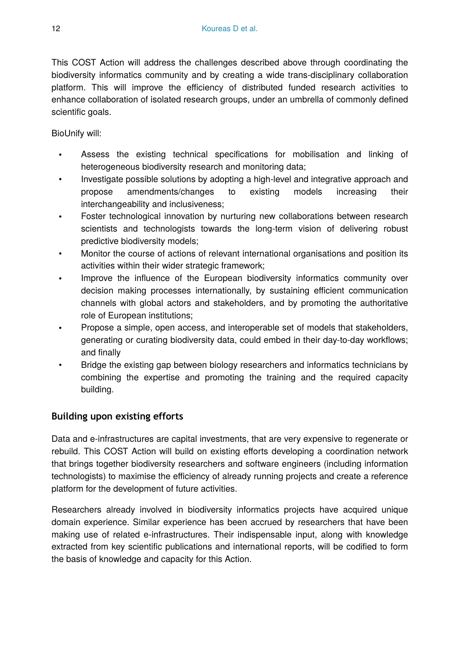This COST Action will address the challenges described above through coordinating the biodiversity informatics community and by creating a wide trans-disciplinary collaboration platform. This will improve the efficiency of distributed funded research activities to enhance collaboration of isolated research groups, under an umbrella of commonly defined scientific goals.

BioUnify will:

- Assess the existing technical specifications for mobilisation and linking of heterogeneous biodiversity research and monitoring data;
- Investigate possible solutions by adopting a high-level and integrative approach and propose amendments/changes to existing models increasing their interchangeability and inclusiveness;
- Foster technological innovation by nurturing new collaborations between research scientists and technologists towards the long-term vision of delivering robust predictive biodiversity models;
- Monitor the course of actions of relevant international organisations and position its activities within their wider strategic framework;
- Improve the influence of the European biodiversity informatics community over decision making processes internationally, by sustaining efficient communication channels with global actors and stakeholders, and by promoting the authoritative role of European institutions;
- Propose a simple, open access, and interoperable set of models that stakeholders, generating or curating biodiversity data, could embed in their day-to-day workflows; and finally
- Bridge the existing gap between biology researchers and informatics technicians by combining the expertise and promoting the training and the required capacity building.

#### **Building upon existing efforts**

Data and e-infrastructures are capital investments, that are very expensive to regenerate or rebuild. This COST Action will build on existing efforts developing a coordination network that brings together biodiversity researchers and software engineers (including information technologists) to maximise the efficiency of already running projects and create a reference platform for the development of future activities.

Researchers already involved in biodiversity informatics projects have acquired unique domain experience. Similar experience has been accrued by researchers that have been making use of related e-infrastructures. Their indispensable input, along with knowledge extracted from key scientific publications and international reports, will be codified to form the basis of knowledge and capacity for this Action.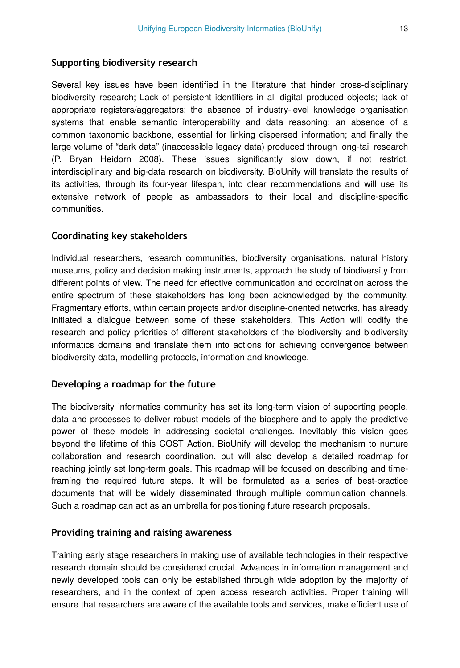#### **Supporting biodiversity research**

Several key issues have been identified in the literature that hinder cross-disciplinary biodiversity research; Lack of persistent identifiers in all digital produced objects; lack of appropriate registers/aggregators; the absence of industry-level knowledge organisation systems that enable semantic interoperability and data reasoning; an absence of a common taxonomic backbone, essential for linking dispersed information; and finally the large volume of "dark data" (inaccessible legacy data) produced through long-tail research (P. Bryan Heidorn 2008). These issues significantly slow down, if not restrict, interdisciplinary and big-data research on biodiversity. BioUnify will translate the results of its activities, through its four-year lifespan, into clear recommendations and will use its extensive network of people as ambassadors to their local and discipline-specific communities.

#### **Coordinating key stakeholders**

Individual researchers, research communities, biodiversity organisations, natural history museums, policy and decision making instruments, approach the study of biodiversity from different points of view. The need for effective communication and coordination across the entire spectrum of these stakeholders has long been acknowledged by the community. Fragmentary efforts, within certain projects and/or discipline-oriented networks, has already initiated a dialogue between some of these stakeholders. This Action will codify the research and policy priorities of different stakeholders of the biodiversity and biodiversity informatics domains and translate them into actions for achieving convergence between biodiversity data, modelling protocols, information and knowledge.

#### **Developing a roadmap for the future**

The biodiversity informatics community has set its long-term vision of supporting people, data and processes to deliver robust models of the biosphere and to apply the predictive power of these models in addressing societal challenges. Inevitably this vision goes beyond the lifetime of this COST Action. BioUnify will develop the mechanism to nurture collaboration and research coordination, but will also develop a detailed roadmap for reaching jointly set long-term goals. This roadmap will be focused on describing and timeframing the required future steps. It will be formulated as a series of best-practice documents that will be widely disseminated through multiple communication channels. Such a roadmap can act as an umbrella for positioning future research proposals.

#### **Providing training and raising awareness**

Training early stage researchers in making use of available technologies in their respective research domain should be considered crucial. Advances in information management and newly developed tools can only be established through wide adoption by the majority of researchers, and in the context of open access research activities. Proper training will ensure that researchers are aware of the available tools and services, make efficient use of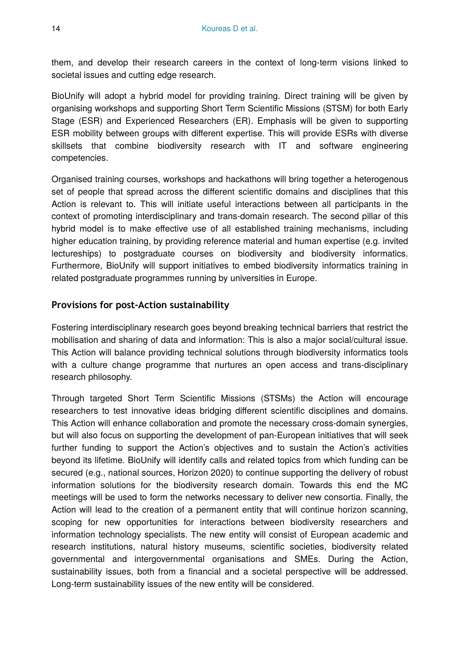them, and develop their research careers in the context of long-term visions linked to societal issues and cutting edge research.

BioUnify will adopt a hybrid model for providing training. Direct training will be given by organising workshops and supporting Short Term Scientific Missions (STSM) for both Early Stage (ESR) and Experienced Researchers (ER). Emphasis will be given to supporting ESR mobility between groups with different expertise. This will provide ESRs with diverse skillsets that combine biodiversity research with IT and software engineering competencies.

Organised training courses, workshops and hackathons will bring together a heterogenous set of people that spread across the different scientific domains and disciplines that this Action is relevant to. This will initiate useful interactions between all participants in the context of promoting interdisciplinary and trans-domain research. The second pillar of this hybrid model is to make effective use of all established training mechanisms, including higher education training, by providing reference material and human expertise (e.g. invited lectureships) to postgraduate courses on biodiversity and biodiversity informatics. Furthermore, BioUnify will support initiatives to embed biodiversity informatics training in related postgraduate programmes running by universities in Europe.

#### **Provisions for post-Action sustainability**

Fostering interdisciplinary research goes beyond breaking technical barriers that restrict the mobilisation and sharing of data and information: This is also a major social/cultural issue. This Action will balance providing technical solutions through biodiversity informatics tools with a culture change programme that nurtures an open access and trans-disciplinary research philosophy.

Through targeted Short Term Scientific Missions (STSMs) the Action will encourage researchers to test innovative ideas bridging different scientific disciplines and domains. This Action will enhance collaboration and promote the necessary cross-domain synergies, but will also focus on supporting the development of pan-European initiatives that will seek further funding to support the Action's objectives and to sustain the Action's activities beyond its lifetime. BioUnify will identify calls and related topics from which funding can be secured (e.g., national sources, Horizon 2020) to continue supporting the delivery of robust information solutions for the biodiversity research domain. Towards this end the MC meetings will be used to form the networks necessary to deliver new consortia. Finally, the Action will lead to the creation of a permanent entity that will continue horizon scanning, scoping for new opportunities for interactions between biodiversity researchers and information technology specialists. The new entity will consist of European academic and research institutions, natural history museums, scientific societies, biodiversity related governmental and intergovernmental organisations and SMEs. During the Action, sustainability issues, both from a financial and a societal perspective will be addressed. Long-term sustainability issues of the new entity will be considered.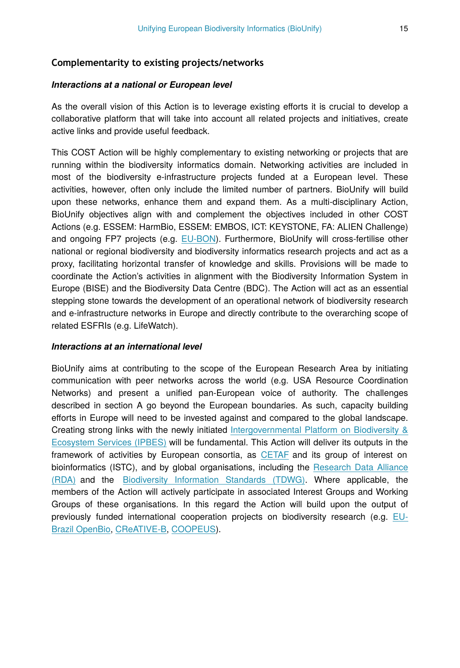#### **Complementarity to existing projects/networks**

#### *Interactions at a national or European level*

As the overall vision of this Action is to leverage existing efforts it is crucial to develop a collaborative platform that will take into account all related projects and initiatives, create active links and provide useful feedback.

This COST Action will be highly complementary to existing networking or projects that are running within the biodiversity informatics domain. Networking activities are included in most of the biodiversity e-infrastructure projects funded at a European level. These activities, however, often only include the limited number of partners. BioUnify will build upon these networks, enhance them and expand them. As a multi-disciplinary Action, BioUnify objectives align with and complement the objectives included in other COST Actions (e.g. ESSEM: HarmBio, ESSEM: EMBOS, ICT: KEYSTONE, FA: ALIEN Challenge) and ongoing FP7 projects (e.g. [EU-BON](http://www.eubon.eu/)). Furthermore, BioUnify will cross-fertilise other national or regional biodiversity and biodiversity informatics research projects and act as a proxy, facilitating horizontal transfer of knowledge and skills. Provisions will be made to coordinate the Action's activities in alignment with the Biodiversity Information System in Europe (BISE) and the Biodiversity Data Centre (BDC). The Action will act as an essential stepping stone towards the development of an operational network of biodiversity research and e-infrastructure networks in Europe and directly contribute to the overarching scope of related ESFRIs (e.g. LifeWatch).

#### *Interactions at an international level*

BioUnify aims at contributing to the scope of the European Research Area by initiating communication with peer networks across the world (e.g. USA Resource Coordination Networks) and present a unified pan-European voice of authority. The challenges described in section A go beyond the European boundaries. As such, capacity building efforts in Europe will need to be invested against and compared to the global landscape. Creating strong links with the newly initiated [Intergovernmental Platform on Biodiversity &](http://www.ipbes.net/) [Ecosystem Services \(IPBES\)](http://www.ipbes.net/) will be fundamental. This Action will deliver its outputs in the framework of activities by European consortia, as [CETAF](http://cetaf.eu/) and its group of interest on bioinformatics (ISTC), and by global organisations, including the [Research Data Alliance](https://rd-alliance.org/) [\(RDA\)](https://rd-alliance.org/) and the [Biodiversity Information Standards \(TDWG\)](http://www.tdwg.org/). Where applicable, the members of the Action will actively participate in associated Interest Groups and Working Groups of these organisations. In this regard the Action will build upon the output of previously funded international cooperation projects on biodiversity research (e.g. [EU-](http://www.eubrazilopenbio.eu/)[Brazil OpenBio](http://www.eubrazilopenbio.eu/), [CReATIVE-B](http://creative-b.eu/), [COOPEUS](https://www.coopeus.eu/)).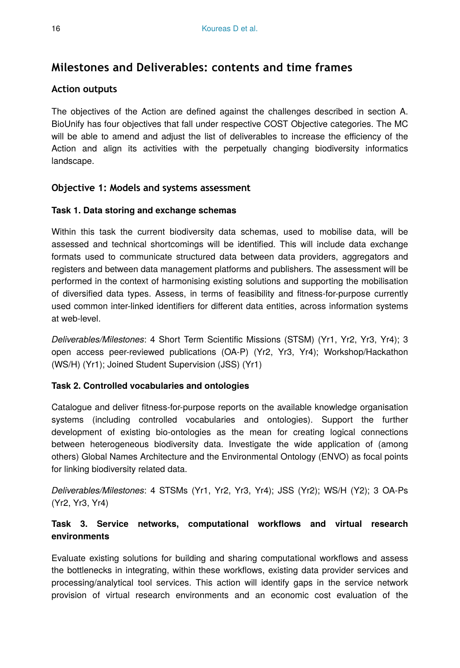# **Milestones and Deliverables: contents and time frames**

#### **Action outputs**

The objectives of the Action are defined against the challenges described in section A. BioUnify has four objectives that fall under respective COST Objective categories. The MC will be able to amend and adjust the list of deliverables to increase the efficiency of the Action and align its activities with the perpetually changing biodiversity informatics landscape.

### **Objective 1: Models and systems assessment**

#### **Task 1. Data storing and exchange schemas**

Within this task the current biodiversity data schemas, used to mobilise data, will be assessed and technical shortcomings will be identified. This will include data exchange formats used to communicate structured data between data providers, aggregators and registers and between data management platforms and publishers. The assessment will be performed in the context of harmonising existing solutions and supporting the mobilisation of diversified data types. Assess, in terms of feasibility and fitness-for-purpose currently used common inter-linked identifiers for different data entities, across information systems at web-level.

*Deliverables/Milestones*: 4 Short Term Scientific Missions (STSM) (Yr1, Yr2, Yr3, Yr4); 3 open access peer-reviewed publications (OA-P) (Yr2, Yr3, Yr4); Workshop/Hackathon (WS/H) (Yr1); Joined Student Supervision (JSS) (Yr1)

#### **Task 2. Controlled vocabularies and ontologies**

Catalogue and deliver fitness-for-purpose reports on the available knowledge organisation systems (including controlled vocabularies and ontologies). Support the further development of existing bio-ontologies as the mean for creating logical connections between heterogeneous biodiversity data. Investigate the wide application of (among others) Global Names Architecture and the Environmental Ontology (ENVO) as focal points for linking biodiversity related data.

*Deliverables/Milestones*: 4 STSMs (Yr1, Yr2, Yr3, Yr4); JSS (Yr2); WS/H (Y2); 3 OA-Ps (Yr2, Yr3, Yr4)

### **Task 3. Service networks, computational workflows and virtual research environments**

Evaluate existing solutions for building and sharing computational workflows and assess the bottlenecks in integrating, within these workflows, existing data provider services and processing/analytical tool services. This action will identify gaps in the service network provision of virtual research environments and an economic cost evaluation of the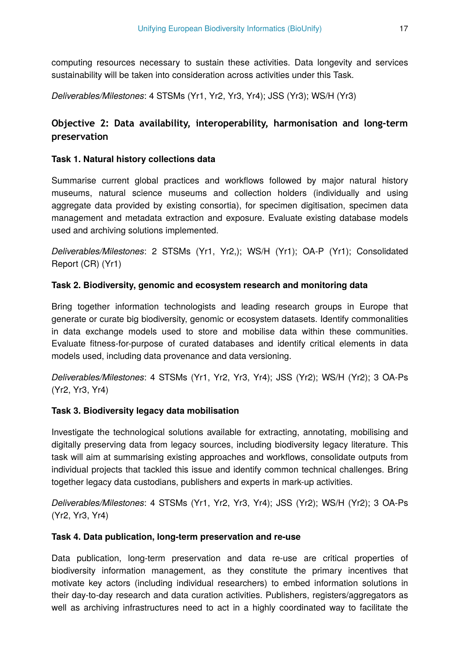computing resources necessary to sustain these activities. Data longevity and services sustainability will be taken into consideration across activities under this Task.

*Deliverables/Milestones*: 4 STSMs (Yr1, Yr2, Yr3, Yr4); JSS (Yr3); WS/H (Yr3)

# **Objective 2: Data availability, interoperability, harmonisation and long-term preservation**

#### **Task 1. Natural history collections data**

Summarise current global practices and workflows followed by major natural history museums, natural science museums and collection holders (individually and using aggregate data provided by existing consortia), for specimen digitisation, specimen data management and metadata extraction and exposure. Evaluate existing database models used and archiving solutions implemented.

*Deliverables/Milestones*: 2 STSMs (Yr1, Yr2,); WS/H (Yr1); OA-P (Yr1); Consolidated Report (CR) (Yr1)

#### **Task 2. Biodiversity, genomic and ecosystem research and monitoring data**

Bring together information technologists and leading research groups in Europe that generate or curate big biodiversity, genomic or ecosystem datasets. Identify commonalities in data exchange models used to store and mobilise data within these communities. Evaluate fitness-for-purpose of curated databases and identify critical elements in data models used, including data provenance and data versioning.

*Deliverables/Milestones*: 4 STSMs (Yr1, Yr2, Yr3, Yr4); JSS (Yr2); WS/H (Yr2); 3 OA-Ps (Yr2, Yr3, Yr4)

#### **Task 3. Biodiversity legacy data mobilisation**

Investigate the technological solutions available for extracting, annotating, mobilising and digitally preserving data from legacy sources, including biodiversity legacy literature. This task will aim at summarising existing approaches and workflows, consolidate outputs from individual projects that tackled this issue and identify common technical challenges. Bring together legacy data custodians, publishers and experts in mark-up activities.

*Deliverables/Milestones*: 4 STSMs (Yr1, Yr2, Yr3, Yr4); JSS (Yr2); WS/H (Yr2); 3 OA-Ps (Yr2, Yr3, Yr4)

#### **Task 4. Data publication, long-term preservation and re-use**

Data publication, long-term preservation and data re-use are critical properties of biodiversity information management, as they constitute the primary incentives that motivate key actors (including individual researchers) to embed information solutions in their day-to-day research and data curation activities. Publishers, registers/aggregators as well as archiving infrastructures need to act in a highly coordinated way to facilitate the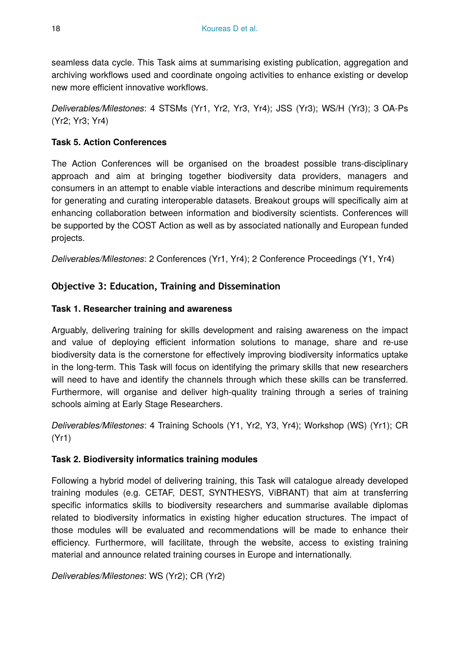seamless data cycle. This Task aims at summarising existing publication, aggregation and archiving workflows used and coordinate ongoing activities to enhance existing or develop new more efficient innovative workflows.

*Deliverables/Milestones*: 4 STSMs (Yr1, Yr2, Yr3, Yr4); JSS (Yr3); WS/H (Yr3); 3 OA-Ps (Yr2; Yr3; Yr4)

#### **Task 5. Action Conferences**

The Action Conferences will be organised on the broadest possible trans-disciplinary approach and aim at bringing together biodiversity data providers, managers and consumers in an attempt to enable viable interactions and describe minimum requirements for generating and curating interoperable datasets. Breakout groups will specifically aim at enhancing collaboration between information and biodiversity scientists. Conferences will be supported by the COST Action as well as by associated nationally and European funded projects.

*Deliverables/Milestones*: 2 Conferences (Yr1, Yr4); 2 Conference Proceedings (Y1, Yr4)

#### **Objective 3: Education, Training and Dissemination**

#### **Task 1. Researcher training and awareness**

Arguably, delivering training for skills development and raising awareness on the impact and value of deploying efficient information solutions to manage, share and re-use biodiversity data is the cornerstone for effectively improving biodiversity informatics uptake in the long-term. This Task will focus on identifying the primary skills that new researchers will need to have and identify the channels through which these skills can be transferred. Furthermore, will organise and deliver high-quality training through a series of training schools aiming at Early Stage Researchers.

*Deliverables/Milestones*: 4 Training Schools (Y1, Yr2, Y3, Yr4); Workshop (WS) (Yr1); CR (Yr1)

#### **Task 2. Biodiversity informatics training modules**

Following a hybrid model of delivering training, this Task will catalogue already developed training modules (e.g. CETAF, DEST, SYNTHESYS, ViBRANT) that aim at transferring specific informatics skills to biodiversity researchers and summarise available diplomas related to biodiversity informatics in existing higher education structures. The impact of those modules will be evaluated and recommendations will be made to enhance their efficiency. Furthermore, will facilitate, through the website, access to existing training material and announce related training courses in Europe and internationally.

*Deliverables/Milestones*: WS (Yr2); CR (Yr2)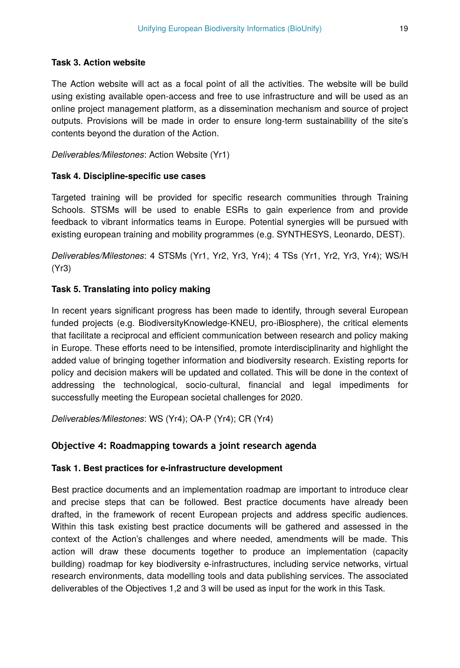#### **Task 3. Action website**

The Action website will act as a focal point of all the activities. The website will be build using existing available open-access and free to use infrastructure and will be used as an online project management platform, as a dissemination mechanism and source of project outputs. Provisions will be made in order to ensure long-term sustainability of the site's contents beyond the duration of the Action.

*Deliverables/Milestones*: Action Website (Yr1)

#### **Task 4. Discipline-specific use cases**

Targeted training will be provided for specific research communities through Training Schools. STSMs will be used to enable ESRs to gain experience from and provide feedback to vibrant informatics teams in Europe. Potential synergies will be pursued with existing european training and mobility programmes (e.g. SYNTHESYS, Leonardo, DEST).

*Deliverables/Milestones*: 4 STSMs (Yr1, Yr2, Yr3, Yr4); 4 TSs (Yr1, Yr2, Yr3, Yr4); WS/H (Yr3)

#### **Task 5. Translating into policy making**

In recent years significant progress has been made to identify, through several European funded projects (e.g. BiodiversityKnowledge-KNEU, pro-iBiosphere), the critical elements that facilitate a reciprocal and efficient communication between research and policy making in Europe. These efforts need to be intensified, promote interdisciplinarity and highlight the added value of bringing together information and biodiversity research. Existing reports for policy and decision makers will be updated and collated. This will be done in the context of addressing the technological, socio-cultural, financial and legal impediments for successfully meeting the European societal challenges for 2020.

*Deliverables/Milestones*: WS (Yr4); OA-P (Yr4); CR (Yr4)

#### **Objective 4: Roadmapping towards a joint research agenda**

#### **Task 1. Best practices for e-infrastructure development**

Best practice documents and an implementation roadmap are important to introduce clear and precise steps that can be followed. Best practice documents have already been drafted, in the framework of recent European projects and address specific audiences. Within this task existing best practice documents will be gathered and assessed in the context of the Action's challenges and where needed, amendments will be made. This action will draw these documents together to produce an implementation (capacity building) roadmap for key biodiversity e-infrastructures, including service networks, virtual research environments, data modelling tools and data publishing services. The associated deliverables of the Objectives 1,2 and 3 will be used as input for the work in this Task.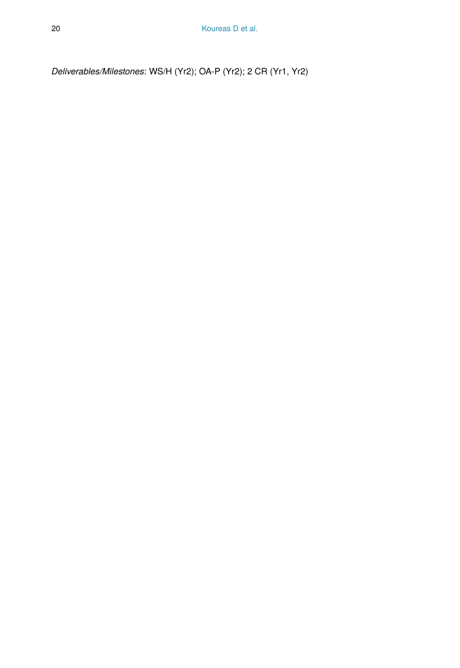*Deliverables/Milestones*: WS/H (Yr2); OA-P (Yr2); 2 CR (Yr1, Yr2)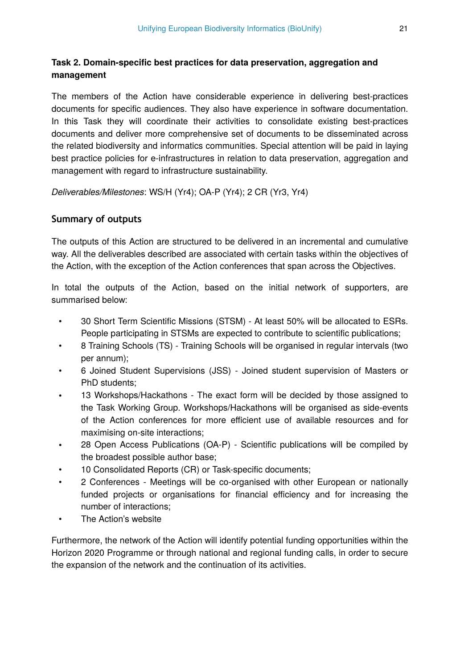#### **Task 2. Domain-specific best practices for data preservation, aggregation and management**

The members of the Action have considerable experience in delivering best-practices documents for specific audiences. They also have experience in software documentation. In this Task they will coordinate their activities to consolidate existing best-practices documents and deliver more comprehensive set of documents to be disseminated across the related biodiversity and informatics communities. Special attention will be paid in laying best practice policies for e-infrastructures in relation to data preservation, aggregation and management with regard to infrastructure sustainability.

*Deliverables/Milestones*: WS/H (Yr4); OA-P (Yr4); 2 CR (Yr3, Yr4)

#### **Summary of outputs**

The outputs of this Action are structured to be delivered in an incremental and cumulative way. All the deliverables described are associated with certain tasks within the objectives of the Action, with the exception of the Action conferences that span across the Objectives.

In total the outputs of the Action, based on the initial network of supporters, are summarised below:

- 30 Short Term Scientific Missions (STSM) At least 50% will be allocated to ESRs. People participating in STSMs are expected to contribute to scientific publications;
- 8 Training Schools (TS) Training Schools will be organised in regular intervals (two per annum);
- 6 Joined Student Supervisions (JSS) Joined student supervision of Masters or PhD students;
- 13 Workshops/Hackathons The exact form will be decided by those assigned to the Task Working Group. Workshops/Hackathons will be organised as side-events of the Action conferences for more efficient use of available resources and for maximising on-site interactions;
- 28 Open Access Publications (OA-P) Scientific publications will be compiled by the broadest possible author base;
- 10 Consolidated Reports (CR) or Task-specific documents;
- 2 Conferences Meetings will be co-organised with other European or nationally funded projects or organisations for financial efficiency and for increasing the number of interactions;
- The Action's website

Furthermore, the network of the Action will identify potential funding opportunities within the Horizon 2020 Programme or through national and regional funding calls, in order to secure the expansion of the network and the continuation of its activities.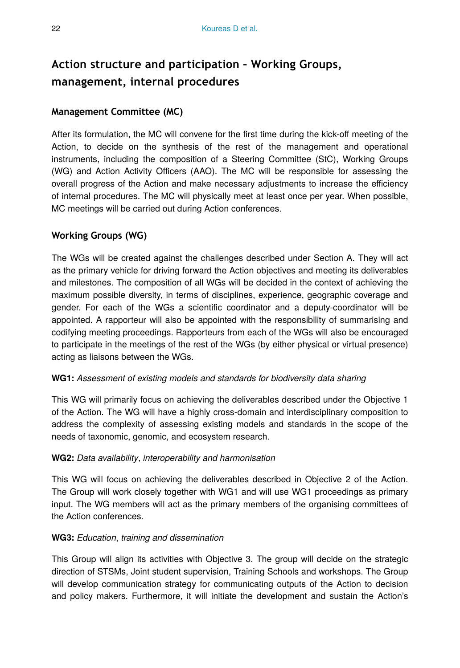# **Action structure and participation – Working Groups, management, internal procedures**

#### **Management Committee (MC)**

After its formulation, the MC will convene for the first time during the kick-off meeting of the Action, to decide on the synthesis of the rest of the management and operational instruments, including the composition of a Steering Committee (StC), Working Groups (WG) and Action Activity Officers (AAO). The MC will be responsible for assessing the overall progress of the Action and make necessary adjustments to increase the efficiency of internal procedures. The MC will physically meet at least once per year. When possible, MC meetings will be carried out during Action conferences.

#### **Working Groups (WG)**

The WGs will be created against the challenges described under Section A. They will act as the primary vehicle for driving forward the Action objectives and meeting its deliverables and milestones. The composition of all WGs will be decided in the context of achieving the maximum possible diversity, in terms of disciplines, experience, geographic coverage and gender. For each of the WGs a scientific coordinator and a deputy-coordinator will be appointed. A rapporteur will also be appointed with the responsibility of summarising and codifying meeting proceedings. Rapporteurs from each of the WGs will also be encouraged to participate in the meetings of the rest of the WGs (by either physical or virtual presence) acting as liaisons between the WGs.

#### **WG1:** *Assessment of existing models and standards for biodiversity data sharing*

This WG will primarily focus on achieving the deliverables described under the Objective 1 of the Action. The WG will have a highly cross-domain and interdisciplinary composition to address the complexity of assessing existing models and standards in the scope of the needs of taxonomic, genomic, and ecosystem research.

#### **WG2:** *Data availability*, *interoperability and harmonisation*

This WG will focus on achieving the deliverables described in Objective 2 of the Action. The Group will work closely together with WG1 and will use WG1 proceedings as primary input. The WG members will act as the primary members of the organising committees of the Action conferences.

#### **WG3:** *Education*, *training and dissemination*

This Group will align its activities with Objective 3. The group will decide on the strategic direction of STSMs, Joint student supervision, Training Schools and workshops. The Group will develop communication strategy for communicating outputs of the Action to decision and policy makers. Furthermore, it will initiate the development and sustain the Action's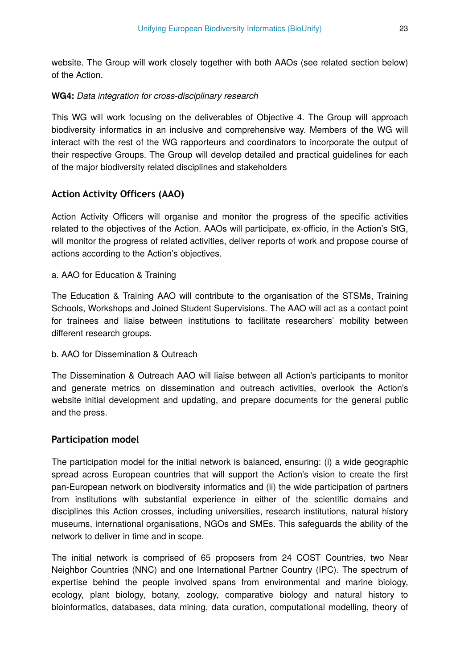website. The Group will work closely together with both AAOs (see related section below) of the Action.

#### **WG4:** *Data integration for cross-disciplinary research*

This WG will work focusing on the deliverables of Objective 4. The Group will approach biodiversity informatics in an inclusive and comprehensive way. Members of the WG will interact with the rest of the WG rapporteurs and coordinators to incorporate the output of their respective Groups. The Group will develop detailed and practical guidelines for each of the major biodiversity related disciplines and stakeholders

#### **Action Activity Officers (AAO)**

Action Activity Officers will organise and monitor the progress of the specific activities related to the objectives of the Action. AAOs will participate, ex-officio, in the Action's StG, will monitor the progress of related activities, deliver reports of work and propose course of actions according to the Action's objectives.

#### a. AAO for Education & Training

The Education & Training AAO will contribute to the organisation of the STSMs, Training Schools, Workshops and Joined Student Supervisions. The AAO will act as a contact point for trainees and liaise between institutions to facilitate researchers' mobility between different research groups.

#### b. AAO for Dissemination & Outreach

The Dissemination & Outreach AAO will liaise between all Action's participants to monitor and generate metrics on dissemination and outreach activities, overlook the Action's website initial development and updating, and prepare documents for the general public and the press.

#### **Participation model**

The participation model for the initial network is balanced, ensuring: (i) a wide geographic spread across European countries that will support the Action's vision to create the first pan-European network on biodiversity informatics and (ii) the wide participation of partners from institutions with substantial experience in either of the scientific domains and disciplines this Action crosses, including universities, research institutions, natural history museums, international organisations, NGOs and SMEs. This safeguards the ability of the network to deliver in time and in scope.

The initial network is comprised of 65 proposers from 24 COST Countries, two Near Neighbor Countries (NNC) and one International Partner Country (IPC). The spectrum of expertise behind the people involved spans from environmental and marine biology, ecology, plant biology, botany, zoology, comparative biology and natural history to bioinformatics, databases, data mining, data curation, computational modelling, theory of